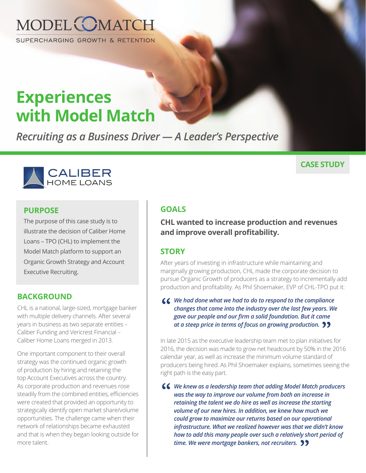

SUPERCHARGING GROWTH & RETENTION

# **Experiences with Model Match**

*Recruiting as a Business Driver — A Leader's Perspective*



#### **PURPOSE**

The purpose of this case study is to illustrate the decision of Caliber Home Loans – TPO (CHL) to implement the Model Match platform to support an Organic Growth Strategy and Account Executive Recruiting.

#### **BACKGROUND**

CHL is a national, large-sized, mortgage banker with multiple delivery channels. After several years in business as two separate entities – Caliber Funding and Vericrest Financial – Caliber Home Loans merged in 2013.

One important component to their overall strategy was the continued organic growth of production by hiring and retaining the top Account Executives across the country. As corporate production and revenues rose steadily from the combined entities, efficiencies were created that provided an opportunity to strategically identify open market share/volume opportunities. The challenge came when their network of relationships became exhausted and that is when they began looking outside for more talent.

#### **CASE STUDY**

#### **GOALS**

**CHL wanted to increase production and revenues and improve overall profitability.**

#### **STORY**

After years of investing in infrastructure while maintaining and marginally growing production, CHL made the corporate decision to pursue Organic Growth of producers as a strategy to incrementally add production and profitability. As Phil Shoemaker, EVP of CHL-TPO put it:

**66** We had done what we had to do to respond to the compliance changes that came into the industry over the last few years. We *changes that came into the industry over the last few years. We gave our people and our firm a solid foundation. But it came at a steep price in terms of focus on growing production.*  **"**

In late 2015 as the executive leadership team met to plan initiatives for 2016, the decision was made to grow net headcount by 50% in the 2016 calendar year, as well as increase the minimum volume standard of producers being hired. As Phil Shoemaker explains, sometimes seeing the right path is the easy part.

**66** We knew as a leadership team that adding Model Match producers was the way to improve our volume from both an increase in *was the way to improve our volume from both an increase in retaining the talent we do hire as well as increase the starting volume of our new hires. In addition, we knew how much we could grow to maximize our returns based on our operational infrastructure. What we realized however was that we didn't know how to add this many people over such a relatively short period of time. We were mortgage bankers, not recruiters.* **"**